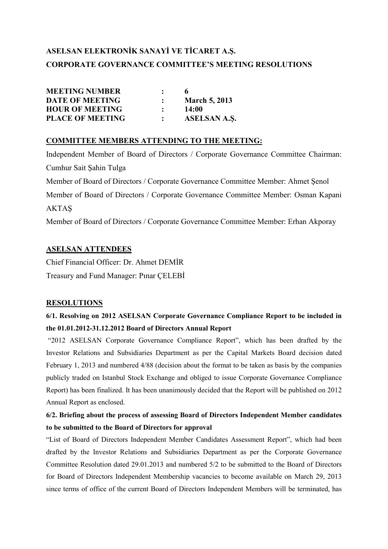# **ASELSAN ELEKTRONİK SANAYİ VE TİCARET A.Ş. CORPORATE GOVERNANCE COMMITTEE'S MEETING RESOLUTIONS**

| <b>MEETING NUMBER</b>   |              |                      |
|-------------------------|--------------|----------------------|
| <b>DATE OF MEETING</b>  |              | <b>March 5, 2013</b> |
| <b>HOUR OF MEETING</b>  | $\mathbb{R}$ | 14:00                |
| <b>PLACE OF MEETING</b> |              | <b>ASELSAN A.S.</b>  |

#### **COMMITTEE MEMBERS ATTENDING TO THE MEETING:**

Independent Member of Board of Directors / Corporate Governance Committee Chairman: Cumhur Sait Şahin Tulga Member of Board of Directors / Corporate Governance Committee Member: Ahmet Şenol Member of Board of Directors / Corporate Governance Committee Member: Osman Kapani AKTAŞ Member of Board of Directors / Corporate Governance Committee Member: Erhan Akporay

#### **ASELSAN ATTENDEES**

Chief Financial Officer: Dr. Ahmet DEMİR Treasury and Fund Manager: Pinar CELEBİ

#### **RESOLUTIONS**

### **6/1. Resolving on 2012 ASELSAN Corporate Governance Compliance Report to be included in the 01.01.2012-31.12.2012 Board of Directors Annual Report**

 "2012 ASELSAN Corporate Governance Compliance Report", which has been drafted by the Investor Relations and Subsidiaries Department as per the Capital Markets Board decision dated February 1, 2013 and numbered 4/88 (decision about the format to be taken as basis by the companies publicly traded on Istanbul Stock Exchange and obliged to issue Corporate Governance Compliance Report) has been finalized. It has been unanimously decided that the Report will be published on 2012 Annual Report as enclosed.

### **6/2. Briefing about the process of assessing Board of Directors Independent Member candidates to be submitted to the Board of Directors for approval**

"List of Board of Directors Independent Member Candidates Assessment Report", which had been drafted by the Investor Relations and Subsidiaries Department as per the Corporate Governance Committee Resolution dated 29.01.2013 and numbered 5/2 to be submitted to the Board of Directors for Board of Directors Independent Membership vacancies to become available on March 29, 2013 since terms of office of the current Board of Directors Independent Members will be terminated, has